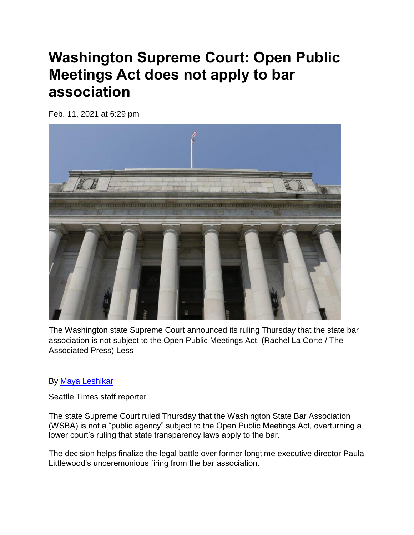## **Washington Supreme Court: Open Public Meetings Act does not apply to bar association**

Feb. 11, 2021 at 6:29 pm



The Washington state Supreme Court announced its ruling Thursday that the state bar association is not subject to the Open Public Meetings Act. (Rachel La Corte / The Associated Press) Less

## By [Maya Leshikar](https://www.seattletimes.com/author/maya-leshikar/)

Seattle Times staff reporter

The state Supreme Court ruled Thursday that the Washington State Bar Association (WSBA) is not a "public agency" subject to the Open Public Meetings Act, overturning a lower court's ruling that state transparency laws apply to the bar.

The decision helps finalize the legal battle over former longtime executive director Paula Littlewood's unceremonious firing from the bar association.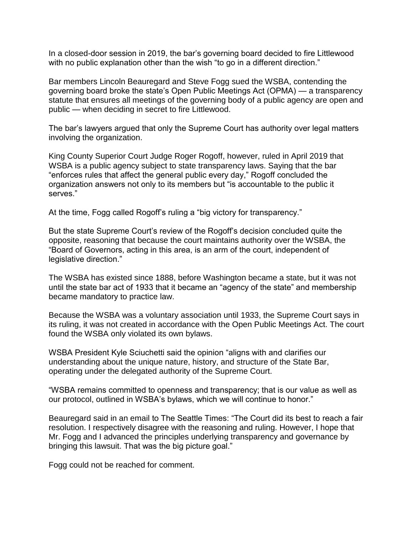In a closed-door session in 2019, the bar's governing board decided to fire Littlewood with no public explanation other than the wish "to go in a different direction."

Bar members Lincoln Beauregard and Steve Fogg sued the WSBA, contending the governing board broke the state's Open Public Meetings Act (OPMA) — a transparency statute that ensures all meetings of the governing body of a public agency are open and public — when deciding in secret to fire Littlewood.

The bar's lawyers argued that only the Supreme Court has authority over legal matters involving the organization.

King County Superior Court Judge Roger Rogoff, however, ruled in April 2019 that WSBA is a public agency subject to state transparency laws. Saying that the bar "enforces rules that affect the general public every day," Rogoff concluded the organization answers not only to its members but "is accountable to the public it serves."

At the time, Fogg called Rogoff's ruling a "big victory for transparency."

But the state Supreme Court's review of the Rogoff's decision concluded quite the opposite, reasoning that because the court maintains authority over the WSBA, the "Board of Governors, acting in this area, is an arm of the court, independent of legislative direction."

The WSBA has existed since 1888, before Washington became a state, but it was not until the state bar act of 1933 that it became an "agency of the state" and membership became mandatory to practice law.

Because the WSBA was a voluntary association until 1933, the Supreme Court says in its ruling, it was not created in accordance with the Open Public Meetings Act. The court found the WSBA only violated its own bylaws.

WSBA President Kyle Sciuchetti said the opinion "aligns with and clarifies our understanding about the unique nature, history, and structure of the State Bar, operating under the delegated authority of the Supreme Court.

"WSBA remains committed to openness and transparency; that is our value as well as our protocol, outlined in WSBA's bylaws, which we will continue to honor."

Beauregard said in an email to The Seattle Times: "The Court did its best to reach a fair resolution. I respectively disagree with the reasoning and ruling. However, I hope that Mr. Fogg and I advanced the principles underlying transparency and governance by bringing this lawsuit. That was the big picture goal."

Fogg could not be reached for comment.